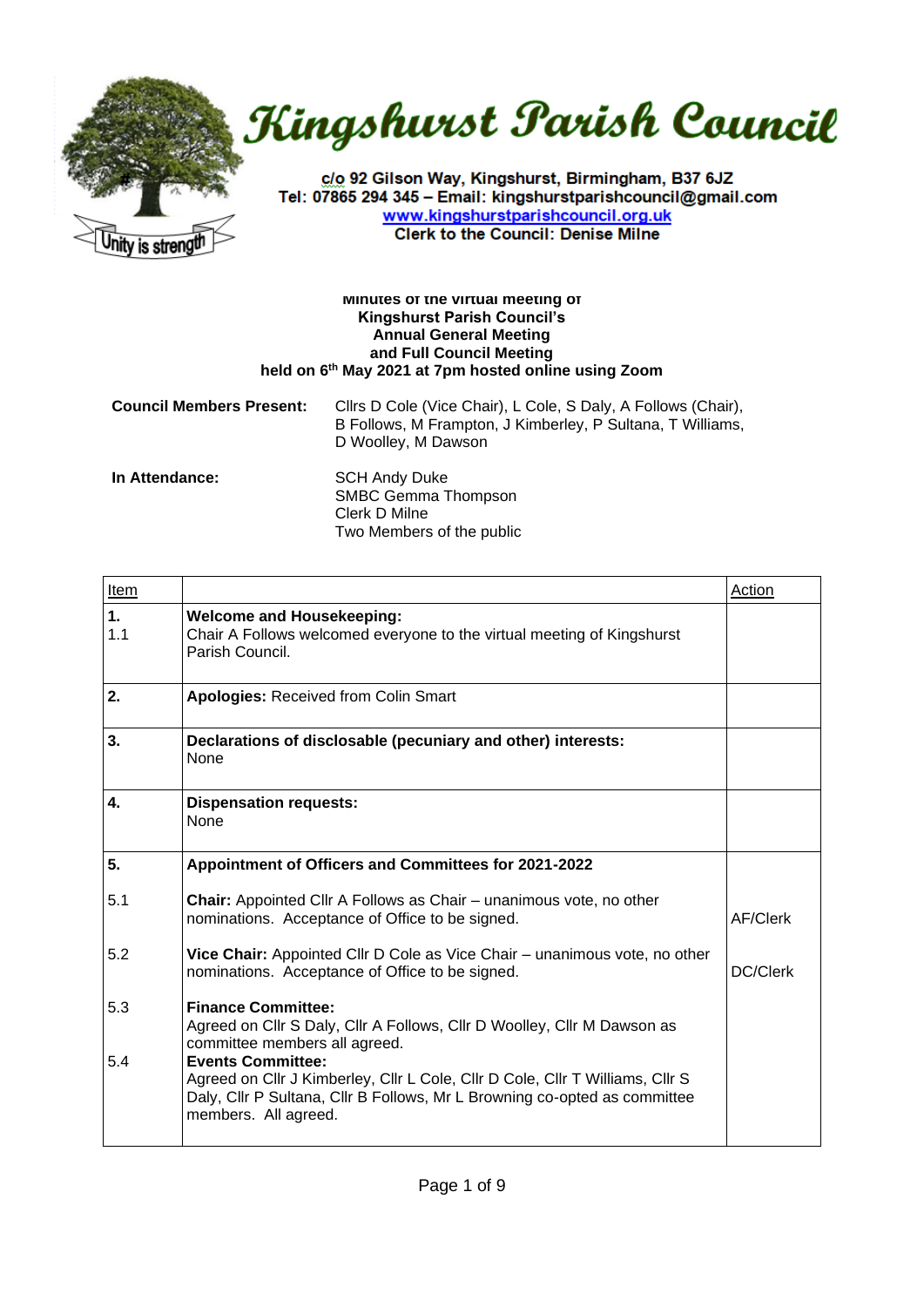



c/o 92 Gilson Way, Kingshurst, Birmingham, B37 6JZ Tel: 07865 294 345 - Email: kingshurstparishcouncil@gmail.com www.kingshurstparishcouncil.org.uk **Clerk to the Council: Denise Milne** 

## **Minutes of the virtual meeting of Kingshurst Parish Council's Annual General Meeting and Full Council Meeting held on 6th May 2021 at 7pm hosted online using Zoom**

| <b>Council Members Present:</b> | Cllrs D Cole (Vice Chair), L Cole, S Daly, A Follows (Chair),<br>B Follows, M Frampton, J Kimberley, P Sultana, T Williams,<br>D Woolley, M Dawson |  |
|---------------------------------|----------------------------------------------------------------------------------------------------------------------------------------------------|--|
| In Attendance:                  | <b>SCH Andy Duke</b>                                                                                                                               |  |

SMBC Gemma Thompson Clerk D Milne Two Members of the public

| Item      |                                                                                                                                                                                                                | Action   |
|-----------|----------------------------------------------------------------------------------------------------------------------------------------------------------------------------------------------------------------|----------|
| 1.<br>1.1 | <b>Welcome and Housekeeping:</b><br>Chair A Follows welcomed everyone to the virtual meeting of Kingshurst<br>Parish Council.                                                                                  |          |
| 2.        | <b>Apologies: Received from Colin Smart</b>                                                                                                                                                                    |          |
| 3.        | Declarations of disclosable (pecuniary and other) interests:<br><b>None</b>                                                                                                                                    |          |
| 4.        | <b>Dispensation requests:</b><br><b>None</b>                                                                                                                                                                   |          |
| 5.        | Appointment of Officers and Committees for 2021-2022                                                                                                                                                           |          |
| 5.1       | <b>Chair:</b> Appointed Cllr A Follows as Chair – unanimous vote, no other<br>nominations. Acceptance of Office to be signed.                                                                                  | AF/Clerk |
| 5.2       | Vice Chair: Appointed Cllr D Cole as Vice Chair - unanimous vote, no other<br>nominations. Acceptance of Office to be signed.                                                                                  | DC/Clerk |
| 5.3       | <b>Finance Committee:</b><br>Agreed on Cllr S Daly, Cllr A Follows, Cllr D Woolley, Cllr M Dawson as<br>committee members all agreed.                                                                          |          |
| 5.4       | <b>Events Committee:</b><br>Agreed on Cllr J Kimberley, Cllr L Cole, Cllr D Cole, Cllr T Williams, Cllr S<br>Daly, Cllr P Sultana, Cllr B Follows, Mr L Browning co-opted as committee<br>members. All agreed. |          |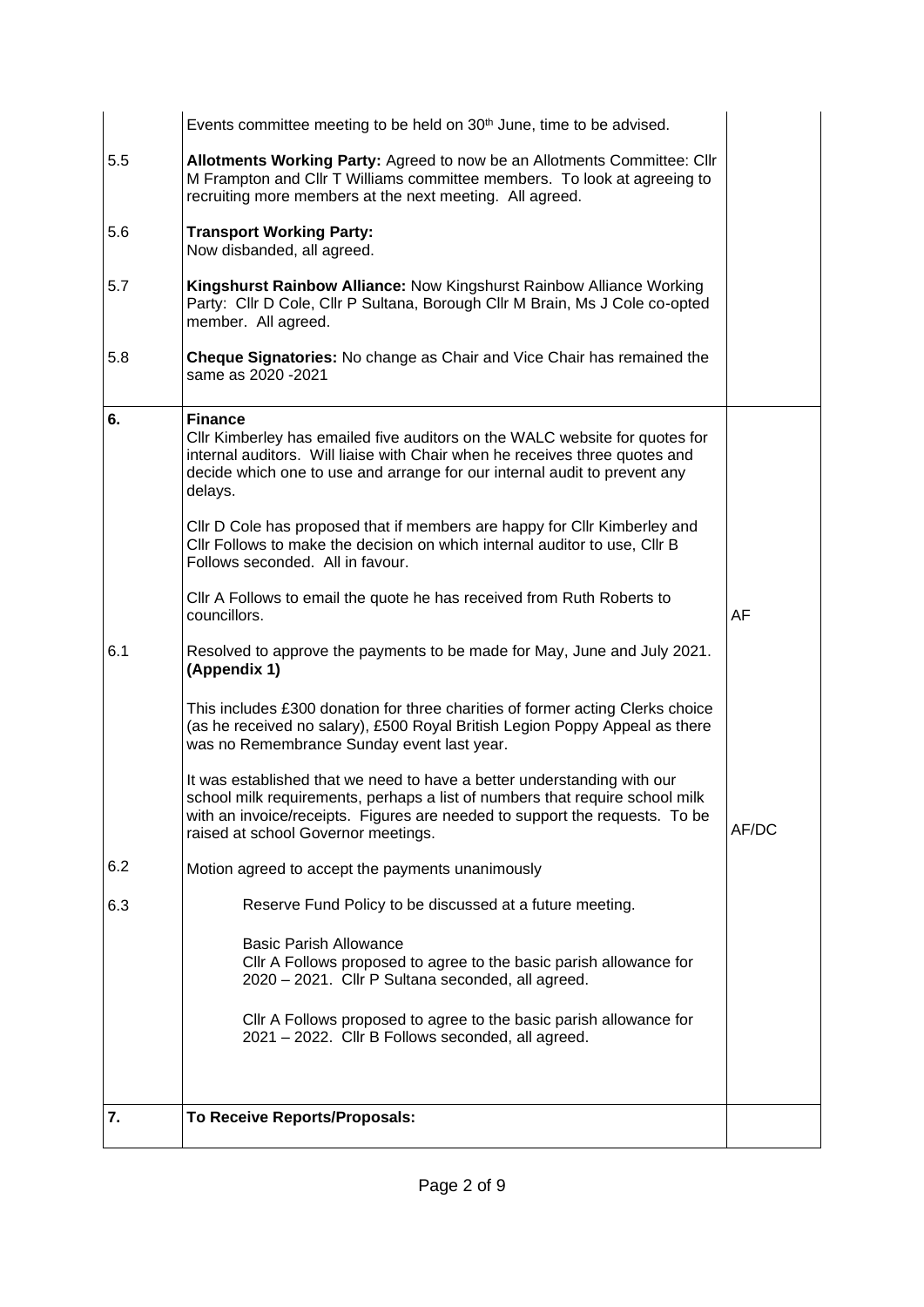|     | Events committee meeting to be held on 30 <sup>th</sup> June, time to be advised.                                                                                                                                                                                             |       |
|-----|-------------------------------------------------------------------------------------------------------------------------------------------------------------------------------------------------------------------------------------------------------------------------------|-------|
| 5.5 | Allotments Working Party: Agreed to now be an Allotments Committee: Cllr<br>M Frampton and CIIr T Williams committee members. To look at agreeing to<br>recruiting more members at the next meeting. All agreed.                                                              |       |
| 5.6 | <b>Transport Working Party:</b><br>Now disbanded, all agreed.                                                                                                                                                                                                                 |       |
| 5.7 | Kingshurst Rainbow Alliance: Now Kingshurst Rainbow Alliance Working<br>Party: Cllr D Cole, Cllr P Sultana, Borough Cllr M Brain, Ms J Cole co-opted<br>member. All agreed.                                                                                                   |       |
| 5.8 | Cheque Signatories: No change as Chair and Vice Chair has remained the<br>same as 2020 - 2021                                                                                                                                                                                 |       |
| 6.  | <b>Finance</b><br>CIIr Kimberley has emailed five auditors on the WALC website for quotes for<br>internal auditors. Will liaise with Chair when he receives three quotes and<br>decide which one to use and arrange for our internal audit to prevent any<br>delays.          |       |
|     | CIIr D Cole has proposed that if members are happy for CIIr Kimberley and<br>Cllr Follows to make the decision on which internal auditor to use, Cllr B<br>Follows seconded. All in favour.                                                                                   |       |
|     | CIIr A Follows to email the quote he has received from Ruth Roberts to<br>councillors.                                                                                                                                                                                        | AF    |
| 6.1 | Resolved to approve the payments to be made for May, June and July 2021.<br>(Appendix 1)                                                                                                                                                                                      |       |
|     | This includes £300 donation for three charities of former acting Clerks choice<br>(as he received no salary), £500 Royal British Legion Poppy Appeal as there<br>was no Remembrance Sunday event last year.                                                                   |       |
|     | It was established that we need to have a better understanding with our<br>school milk requirements, perhaps a list of numbers that require school milk<br>with an invoice/receipts. Figures are needed to support the requests. To be<br>raised at school Governor meetings. | AF/DC |
| 6.2 | Motion agreed to accept the payments unanimously                                                                                                                                                                                                                              |       |
| 6.3 | Reserve Fund Policy to be discussed at a future meeting.                                                                                                                                                                                                                      |       |
|     | <b>Basic Parish Allowance</b><br>CIIr A Follows proposed to agree to the basic parish allowance for<br>2020 - 2021. Cllr P Sultana seconded, all agreed.                                                                                                                      |       |
|     | CIIr A Follows proposed to agree to the basic parish allowance for<br>2021 - 2022. Cllr B Follows seconded, all agreed.                                                                                                                                                       |       |
| 7.  | To Receive Reports/Proposals:                                                                                                                                                                                                                                                 |       |
|     |                                                                                                                                                                                                                                                                               |       |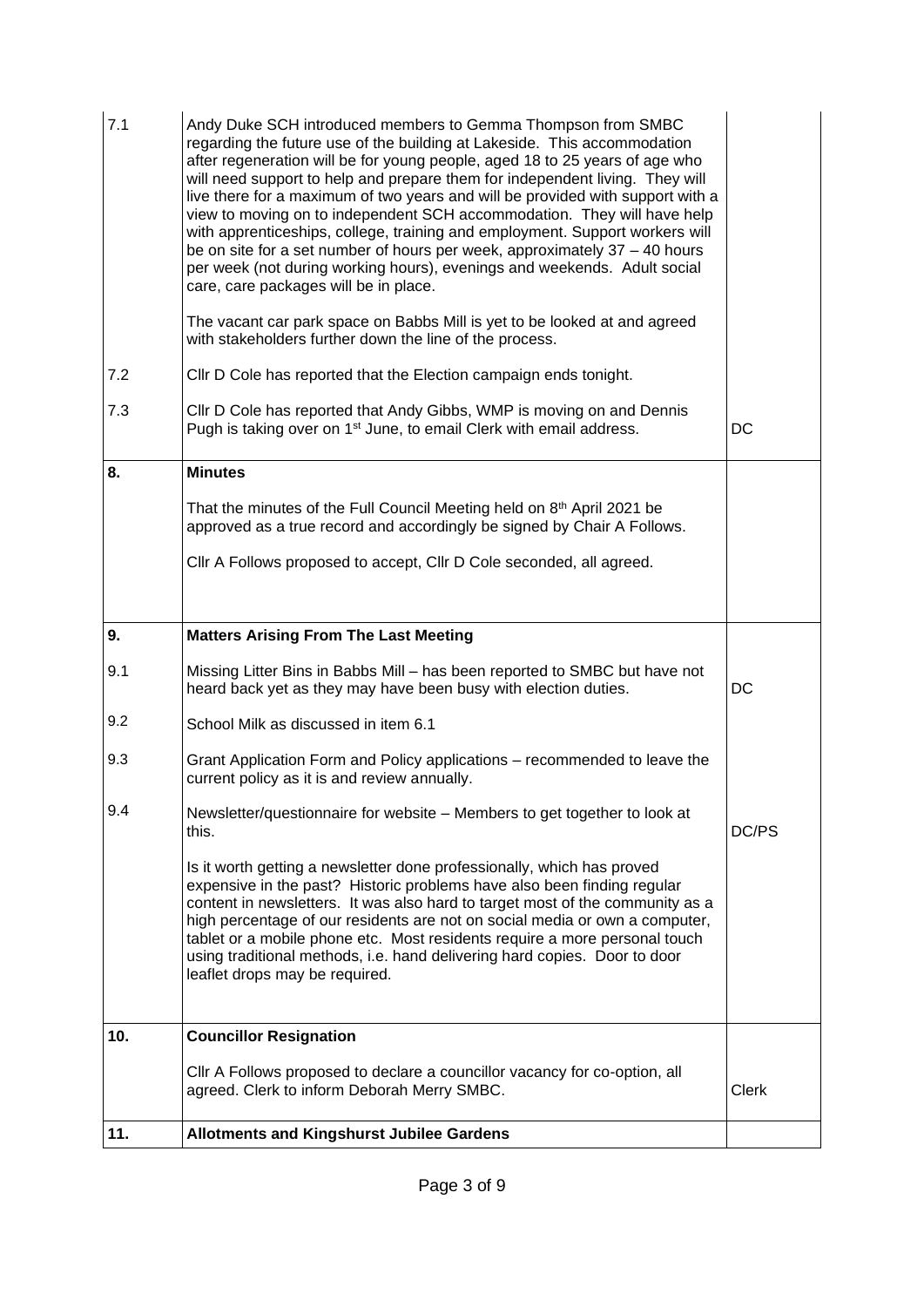| 7.1 | Andy Duke SCH introduced members to Gemma Thompson from SMBC<br>regarding the future use of the building at Lakeside. This accommodation<br>after regeneration will be for young people, aged 18 to 25 years of age who<br>will need support to help and prepare them for independent living. They will<br>live there for a maximum of two years and will be provided with support with a<br>view to moving on to independent SCH accommodation. They will have help<br>with apprenticeships, college, training and employment. Support workers will<br>be on site for a set number of hours per week, approximately 37 - 40 hours<br>per week (not during working hours), evenings and weekends. Adult social<br>care, care packages will be in place.<br>The vacant car park space on Babbs Mill is yet to be looked at and agreed<br>with stakeholders further down the line of the process. |              |
|-----|-------------------------------------------------------------------------------------------------------------------------------------------------------------------------------------------------------------------------------------------------------------------------------------------------------------------------------------------------------------------------------------------------------------------------------------------------------------------------------------------------------------------------------------------------------------------------------------------------------------------------------------------------------------------------------------------------------------------------------------------------------------------------------------------------------------------------------------------------------------------------------------------------|--------------|
| 7.2 | CIIr D Cole has reported that the Election campaign ends tonight.                                                                                                                                                                                                                                                                                                                                                                                                                                                                                                                                                                                                                                                                                                                                                                                                                               |              |
| 7.3 | CIIr D Cole has reported that Andy Gibbs, WMP is moving on and Dennis<br>Pugh is taking over on 1 <sup>st</sup> June, to email Clerk with email address.                                                                                                                                                                                                                                                                                                                                                                                                                                                                                                                                                                                                                                                                                                                                        | DC           |
| 8.  | <b>Minutes</b>                                                                                                                                                                                                                                                                                                                                                                                                                                                                                                                                                                                                                                                                                                                                                                                                                                                                                  |              |
|     | That the minutes of the Full Council Meeting held on 8th April 2021 be<br>approved as a true record and accordingly be signed by Chair A Follows.                                                                                                                                                                                                                                                                                                                                                                                                                                                                                                                                                                                                                                                                                                                                               |              |
|     | Cllr A Follows proposed to accept, Cllr D Cole seconded, all agreed.                                                                                                                                                                                                                                                                                                                                                                                                                                                                                                                                                                                                                                                                                                                                                                                                                            |              |
| 9.  | <b>Matters Arising From The Last Meeting</b>                                                                                                                                                                                                                                                                                                                                                                                                                                                                                                                                                                                                                                                                                                                                                                                                                                                    |              |
| 9.1 | Missing Litter Bins in Babbs Mill - has been reported to SMBC but have not<br>heard back yet as they may have been busy with election duties.                                                                                                                                                                                                                                                                                                                                                                                                                                                                                                                                                                                                                                                                                                                                                   | <b>DC</b>    |
| 9.2 | School Milk as discussed in item 6.1                                                                                                                                                                                                                                                                                                                                                                                                                                                                                                                                                                                                                                                                                                                                                                                                                                                            |              |
| 9.3 | Grant Application Form and Policy applications – recommended to leave the<br>current policy as it is and review annually.                                                                                                                                                                                                                                                                                                                                                                                                                                                                                                                                                                                                                                                                                                                                                                       |              |
| 9.4 | Newsletter/questionnaire for website – Members to get together to look at<br>this.                                                                                                                                                                                                                                                                                                                                                                                                                                                                                                                                                                                                                                                                                                                                                                                                              | DC/PS        |
|     | Is it worth getting a newsletter done professionally, which has proved<br>expensive in the past? Historic problems have also been finding regular<br>content in newsletters. It was also hard to target most of the community as a<br>high percentage of our residents are not on social media or own a computer,<br>tablet or a mobile phone etc. Most residents require a more personal touch<br>using traditional methods, i.e. hand delivering hard copies. Door to door<br>leaflet drops may be required.                                                                                                                                                                                                                                                                                                                                                                                  |              |
| 10. | <b>Councillor Resignation</b>                                                                                                                                                                                                                                                                                                                                                                                                                                                                                                                                                                                                                                                                                                                                                                                                                                                                   |              |
|     | CIIr A Follows proposed to declare a councillor vacancy for co-option, all<br>agreed. Clerk to inform Deborah Merry SMBC.                                                                                                                                                                                                                                                                                                                                                                                                                                                                                                                                                                                                                                                                                                                                                                       | <b>Clerk</b> |
| 11. | <b>Allotments and Kingshurst Jubilee Gardens</b>                                                                                                                                                                                                                                                                                                                                                                                                                                                                                                                                                                                                                                                                                                                                                                                                                                                |              |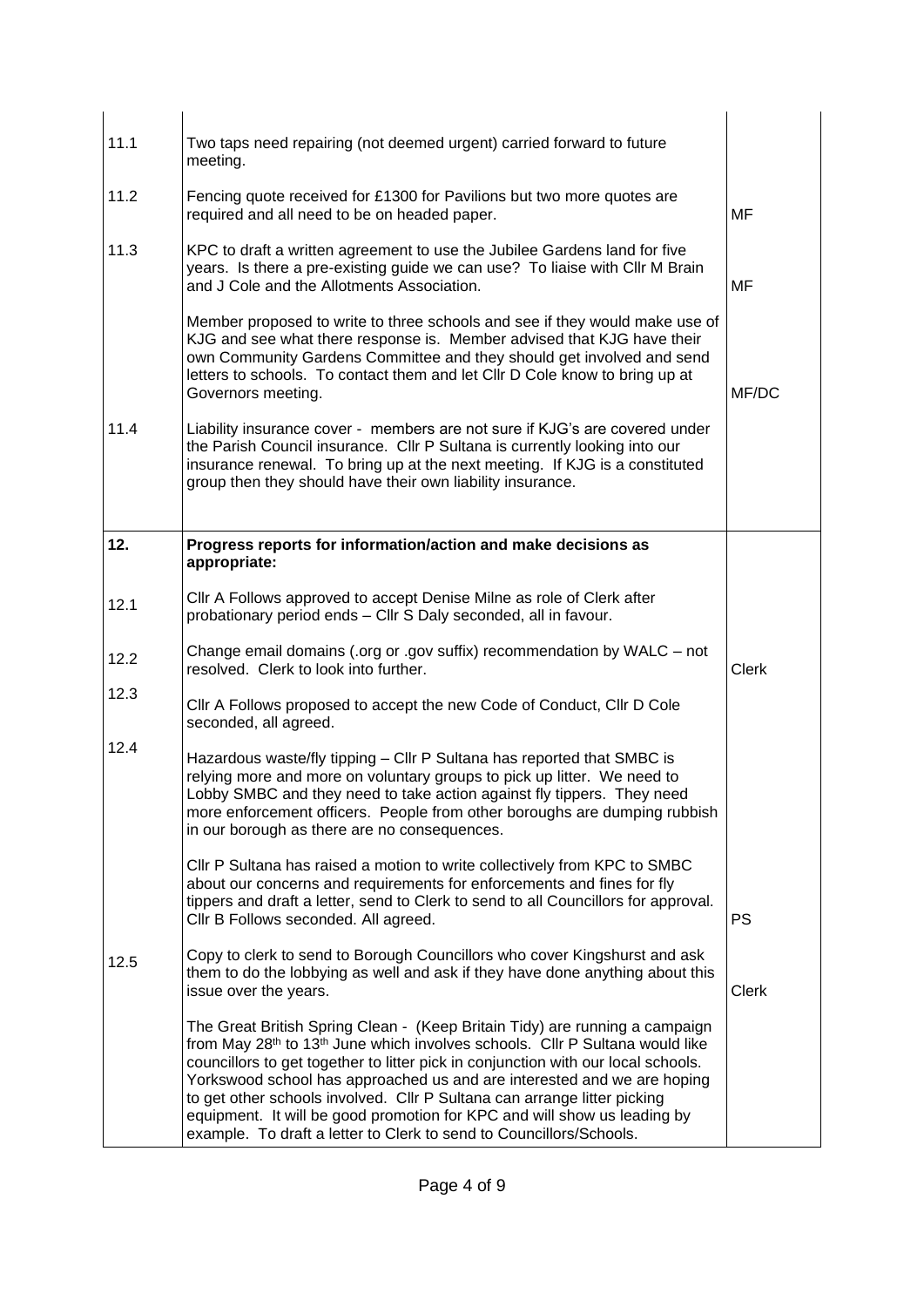| 11.1 | Two taps need repairing (not deemed urgent) carried forward to future<br>meeting.                                                                                                                                                                                                                                                                                                                                                                                                                                                                                                  |              |
|------|------------------------------------------------------------------------------------------------------------------------------------------------------------------------------------------------------------------------------------------------------------------------------------------------------------------------------------------------------------------------------------------------------------------------------------------------------------------------------------------------------------------------------------------------------------------------------------|--------------|
| 11.2 | Fencing quote received for £1300 for Pavilions but two more quotes are<br>required and all need to be on headed paper.                                                                                                                                                                                                                                                                                                                                                                                                                                                             | MF           |
| 11.3 | KPC to draft a written agreement to use the Jubilee Gardens land for five<br>years. Is there a pre-existing guide we can use? To liaise with Cllr M Brain<br>and J Cole and the Allotments Association.                                                                                                                                                                                                                                                                                                                                                                            | MF           |
|      | Member proposed to write to three schools and see if they would make use of<br>KJG and see what there response is. Member advised that KJG have their<br>own Community Gardens Committee and they should get involved and send<br>letters to schools. To contact them and let CIIr D Cole know to bring up at<br>Governors meeting.                                                                                                                                                                                                                                                | MF/DC        |
| 11.4 | Liability insurance cover - members are not sure if KJG's are covered under<br>the Parish Council insurance. Cllr P Sultana is currently looking into our<br>insurance renewal. To bring up at the next meeting. If KJG is a constituted<br>group then they should have their own liability insurance.                                                                                                                                                                                                                                                                             |              |
| 12.  | Progress reports for information/action and make decisions as<br>appropriate:                                                                                                                                                                                                                                                                                                                                                                                                                                                                                                      |              |
| 12.1 | Cllr A Follows approved to accept Denise Milne as role of Clerk after<br>probationary period ends - Cllr S Daly seconded, all in favour.                                                                                                                                                                                                                                                                                                                                                                                                                                           |              |
| 12.2 | Change email domains (.org or .gov suffix) recommendation by WALC - not<br>resolved. Clerk to look into further.                                                                                                                                                                                                                                                                                                                                                                                                                                                                   | <b>Clerk</b> |
| 12.3 | Cllr A Follows proposed to accept the new Code of Conduct, Cllr D Cole<br>seconded, all agreed.                                                                                                                                                                                                                                                                                                                                                                                                                                                                                    |              |
| 12.4 | Hazardous waste/fly tipping - Cllr P Sultana has reported that SMBC is<br>relying more and more on voluntary groups to pick up litter. We need to<br>Lobby SMBC and they need to take action against fly tippers. They need<br>more enforcement officers. People from other boroughs are dumping rubbish<br>in our borough as there are no consequences.                                                                                                                                                                                                                           |              |
|      | CIIr P Sultana has raised a motion to write collectively from KPC to SMBC<br>about our concerns and requirements for enforcements and fines for fly<br>tippers and draft a letter, send to Clerk to send to all Councillors for approval.<br>Cllr B Follows seconded. All agreed.                                                                                                                                                                                                                                                                                                  | <b>PS</b>    |
| 12.5 | Copy to clerk to send to Borough Councillors who cover Kingshurst and ask<br>them to do the lobbying as well and ask if they have done anything about this<br>issue over the years.                                                                                                                                                                                                                                                                                                                                                                                                | <b>Clerk</b> |
|      | The Great British Spring Clean - (Keep Britain Tidy) are running a campaign<br>from May 28 <sup>th</sup> to 13 <sup>th</sup> June which involves schools. Cllr P Sultana would like<br>councillors to get together to litter pick in conjunction with our local schools.<br>Yorkswood school has approached us and are interested and we are hoping<br>to get other schools involved. Cllr P Sultana can arrange litter picking<br>equipment. It will be good promotion for KPC and will show us leading by<br>example. To draft a letter to Clerk to send to Councillors/Schools. |              |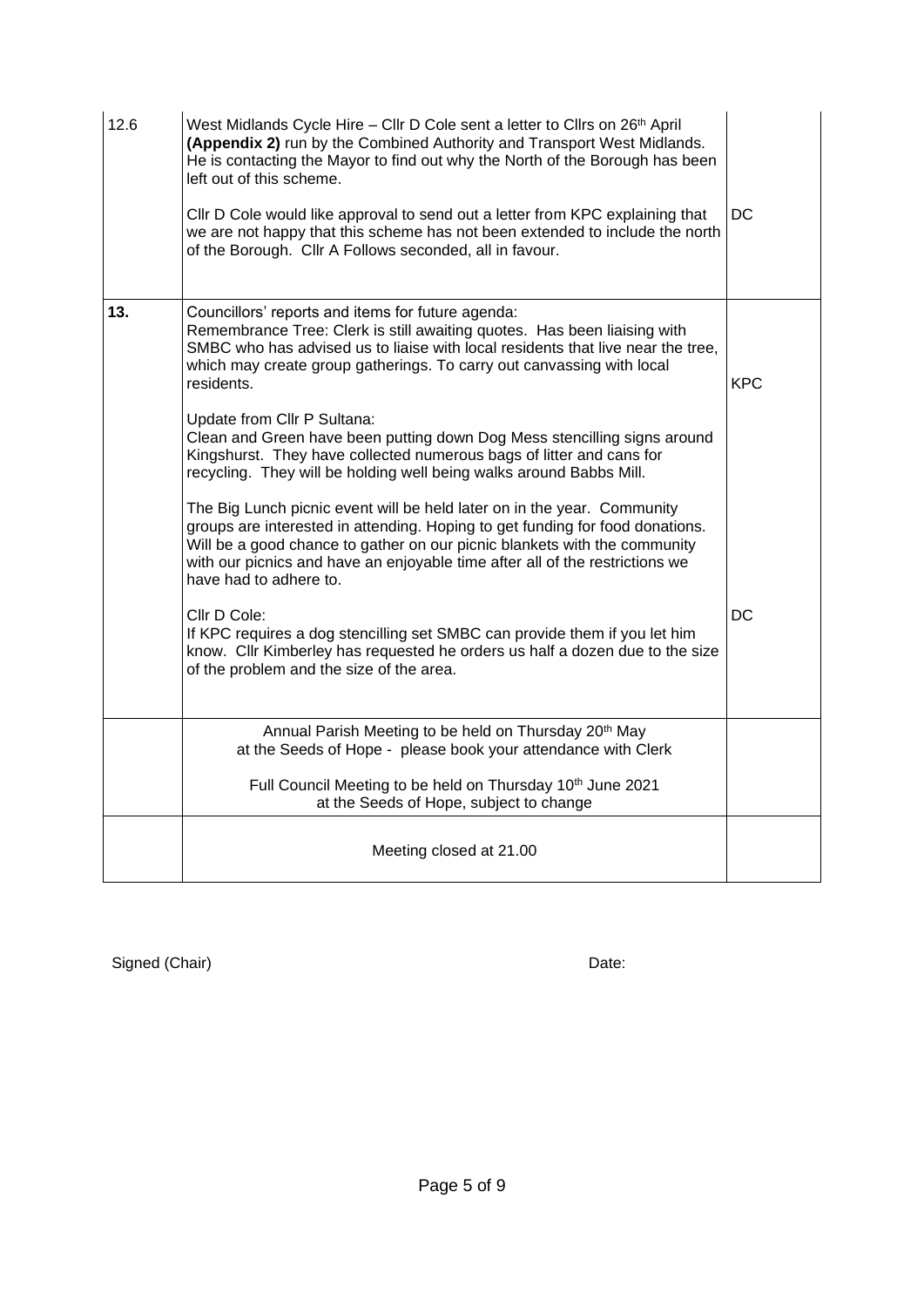| 12.6 | West Midlands Cycle Hire - Cllr D Cole sent a letter to Cllrs on 26th April<br>(Appendix 2) run by the Combined Authority and Transport West Midlands.<br>He is contacting the Mayor to find out why the North of the Borough has been<br>left out of this scheme.<br>CIIr D Cole would like approval to send out a letter from KPC explaining that<br>we are not happy that this scheme has not been extended to include the north<br>of the Borough. Cllr A Follows seconded, all in favour.                                                                            | <b>DC</b>  |
|------|---------------------------------------------------------------------------------------------------------------------------------------------------------------------------------------------------------------------------------------------------------------------------------------------------------------------------------------------------------------------------------------------------------------------------------------------------------------------------------------------------------------------------------------------------------------------------|------------|
| 13.  | Councillors' reports and items for future agenda:<br>Remembrance Tree: Clerk is still awaiting quotes. Has been liaising with<br>SMBC who has advised us to liaise with local residents that live near the tree,<br>which may create group gatherings. To carry out canvassing with local<br>residents.<br>Update from Cllr P Sultana:<br>Clean and Green have been putting down Dog Mess stencilling signs around<br>Kingshurst. They have collected numerous bags of litter and cans for<br>recycling. They will be holding well being walks around Babbs Mill.         | <b>KPC</b> |
|      | The Big Lunch picnic event will be held later on in the year. Community<br>groups are interested in attending. Hoping to get funding for food donations.<br>Will be a good chance to gather on our picnic blankets with the community<br>with our picnics and have an enjoyable time after all of the restrictions we<br>have had to adhere to.<br>Cllr D Cole:<br>If KPC requires a dog stencilling set SMBC can provide them if you let him<br>know. Cllr Kimberley has requested he orders us half a dozen due to the size<br>of the problem and the size of the area. | DC         |
|      | Annual Parish Meeting to be held on Thursday 20 <sup>th</sup> May<br>at the Seeds of Hope - please book your attendance with Clerk<br>Full Council Meeting to be held on Thursday 10 <sup>th</sup> June 2021                                                                                                                                                                                                                                                                                                                                                              |            |
|      | at the Seeds of Hope, subject to change<br>Meeting closed at 21.00                                                                                                                                                                                                                                                                                                                                                                                                                                                                                                        |            |

Signed (Chair) Date: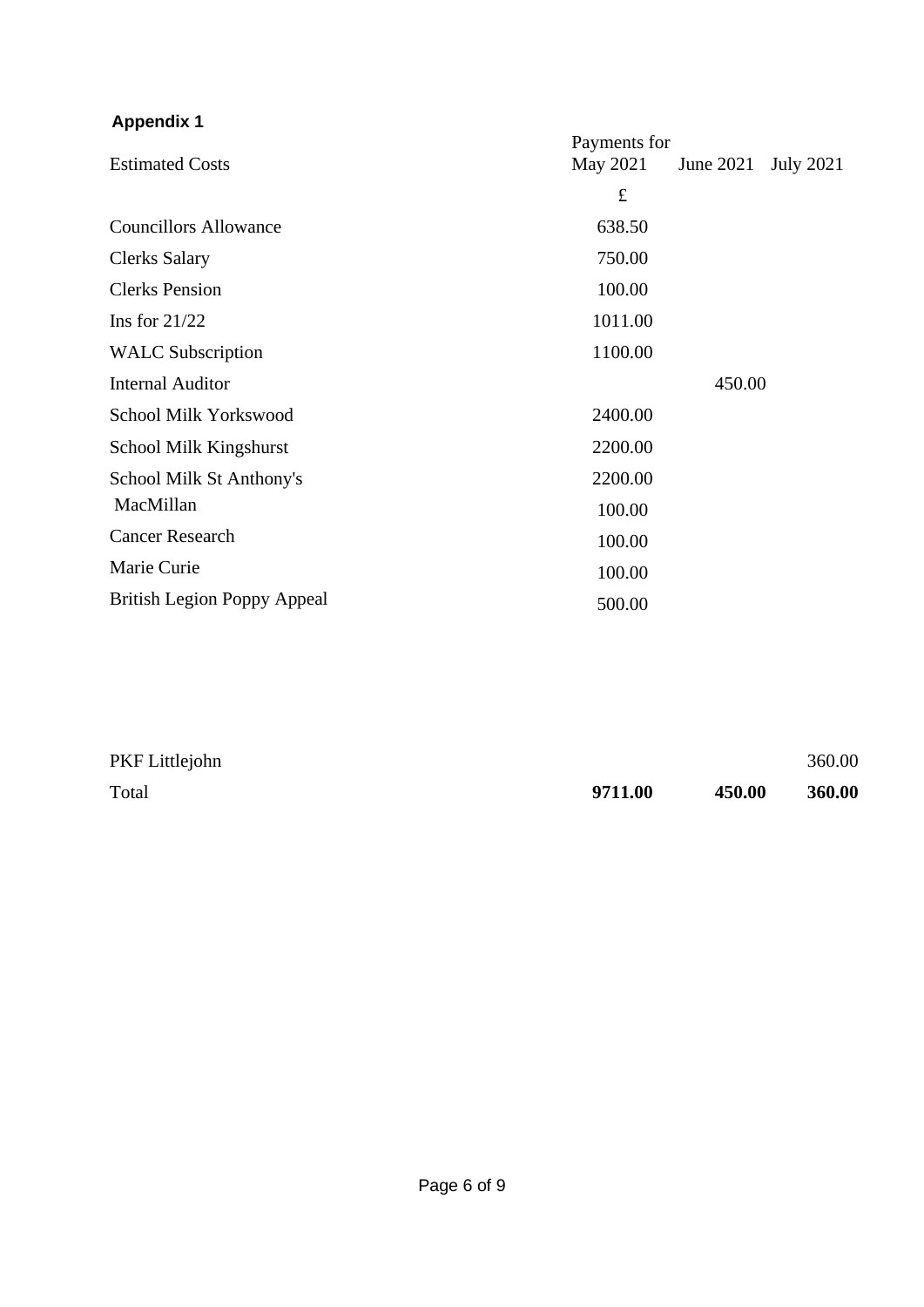## **Appendix 1**

|                                    | Payments for |           |                  |
|------------------------------------|--------------|-----------|------------------|
| <b>Estimated Costs</b>             | May 2021     | June 2021 | <b>July 2021</b> |
|                                    | $\pounds$    |           |                  |
| <b>Councillors Allowance</b>       | 638.50       |           |                  |
| <b>Clerks Salary</b>               | 750.00       |           |                  |
| <b>Clerks Pension</b>              | 100.00       |           |                  |
| Ins for $21/22$                    | 1011.00      |           |                  |
| <b>WALC</b> Subscription           | 1100.00      |           |                  |
| <b>Internal Auditor</b>            |              | 450.00    |                  |
| School Milk Yorkswood              | 2400.00      |           |                  |
| School Milk Kingshurst             | 2200.00      |           |                  |
| School Milk St Anthony's           | 2200.00      |           |                  |
| MacMillan                          | 100.00       |           |                  |
| <b>Cancer Research</b>             | 100.00       |           |                  |
| Marie Curie                        | 100.00       |           |                  |
| <b>British Legion Poppy Appeal</b> | 500.00       |           |                  |

| PKF Littlejohn |         |        | 360.00 |
|----------------|---------|--------|--------|
| Total          | 9711.00 | 450.00 | 360.00 |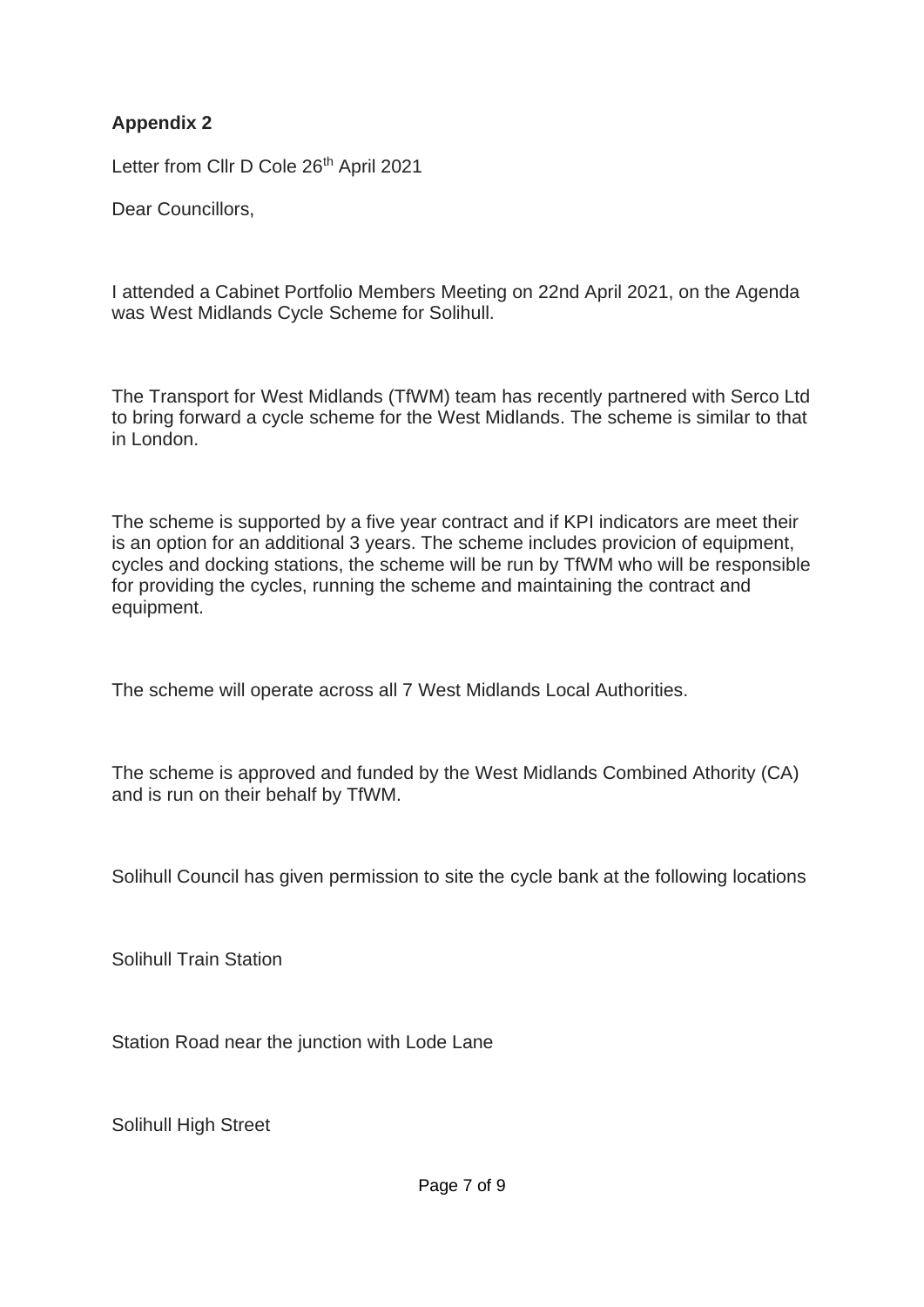## **Appendix 2**

Letter from Cllr D Cole 26<sup>th</sup> April 2021

Dear Councillors,

I attended a Cabinet Portfolio Members Meeting on 22nd April 2021, on the Agenda was West Midlands Cycle Scheme for Solihull.

The Transport for West Midlands (TfWM) team has recently partnered with Serco Ltd to bring forward a cycle scheme for the West Midlands. The scheme is similar to that in London.

The scheme is supported by a five year contract and if KPI indicators are meet their is an option for an additional 3 years. The scheme includes provicion of equipment, cycles and docking stations, the scheme will be run by TfWM who will be responsible for providing the cycles, running the scheme and maintaining the contract and equipment.

The scheme will operate across all 7 West Midlands Local Authorities.

The scheme is approved and funded by the West Midlands Combined Athority (CA) and is run on their behalf by TfWM.

Solihull Council has given permission to site the cycle bank at the following locations

Solihull Train Station

Station Road near the junction with Lode Lane

Solihull High Street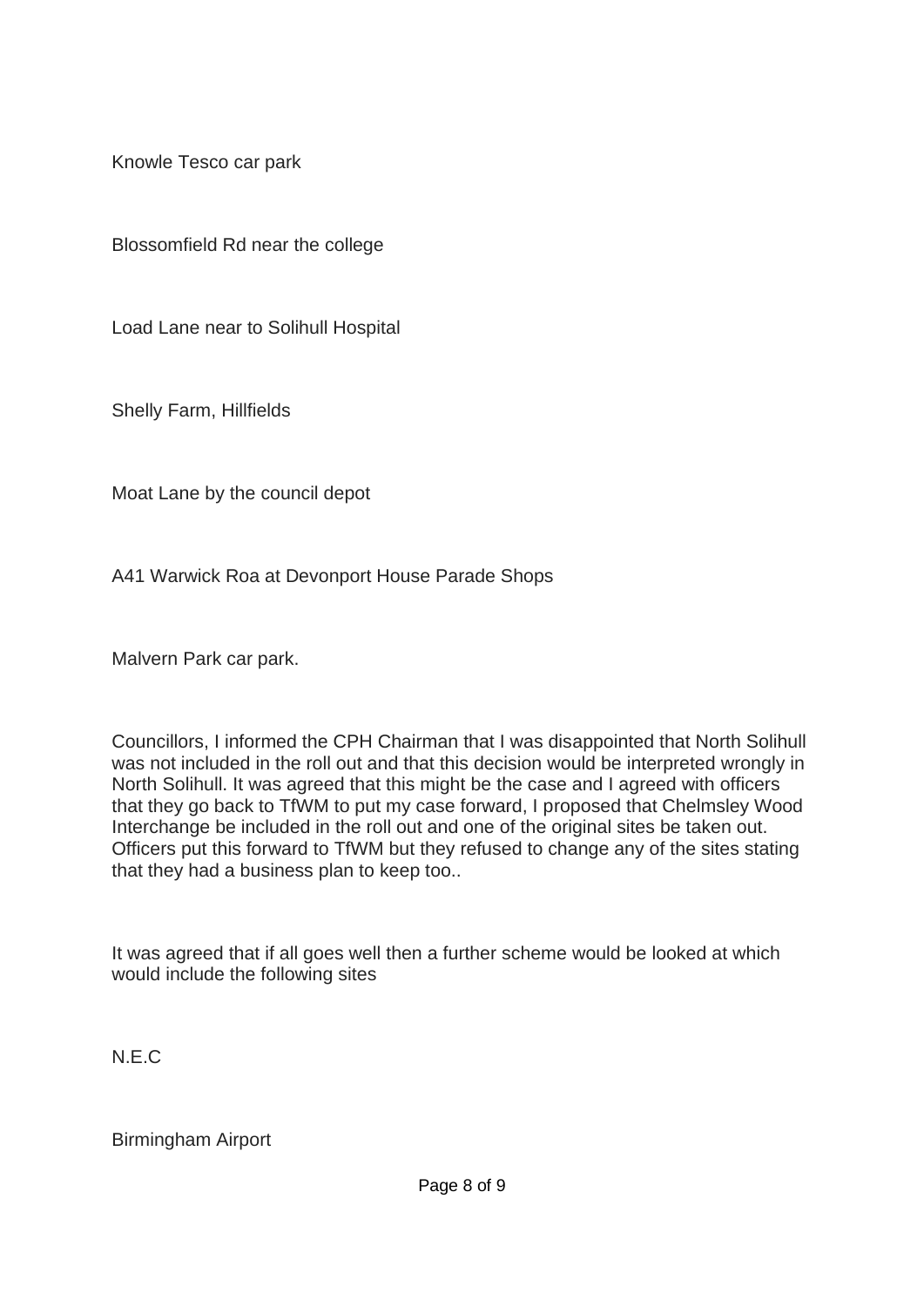Knowle Tesco car park

Blossomfield Rd near the college

Load Lane near to Solihull Hospital

Shelly Farm, Hillfields

Moat Lane by the council depot

A41 Warwick Roa at Devonport House Parade Shops

Malvern Park car park.

Councillors, I informed the CPH Chairman that I was disappointed that North Solihull was not included in the roll out and that this decision would be interpreted wrongly in North Solihull. It was agreed that this might be the case and I agreed with officers that they go back to TfWM to put my case forward, I proposed that Chelmsley Wood Interchange be included in the roll out and one of the original sites be taken out. Officers put this forward to TfWM but they refused to change any of the sites stating that they had a business plan to keep too..

It was agreed that if all goes well then a further scheme would be looked at which would include the following sites

N.E.C

Birmingham Airport